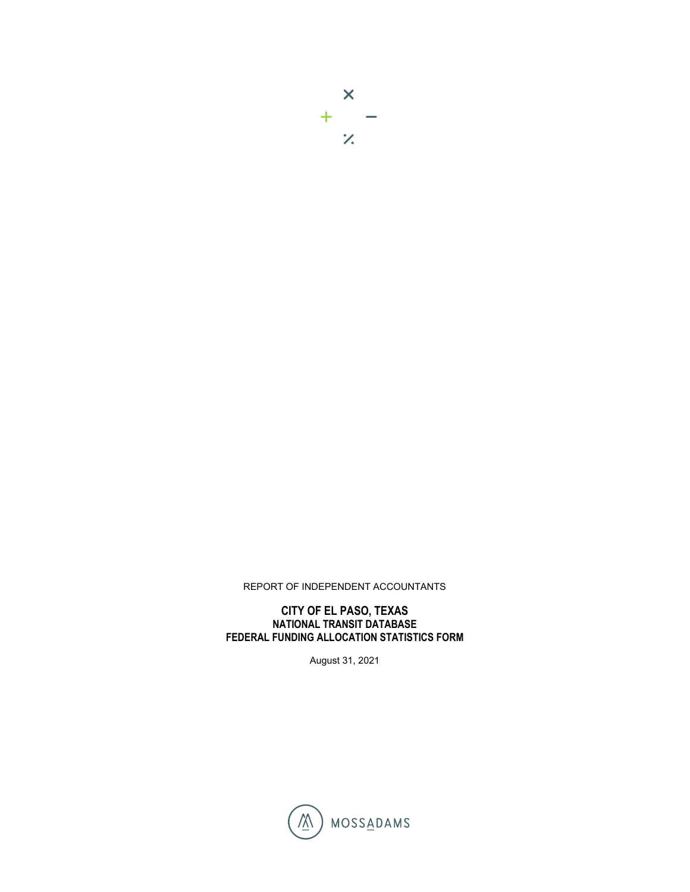# $\mathsf{X}$  $\begin{array}{c} + \\ \hline \end{array}$

#### REPORT OF INDEPENDENT ACCOUNTANTS

#### **CITY OF EL PASO, TEXAS NATIONAL TRANSIT DATABASE FEDERAL FUNDING ALLOCATION STATISTICS FORM**

August 31, 2021

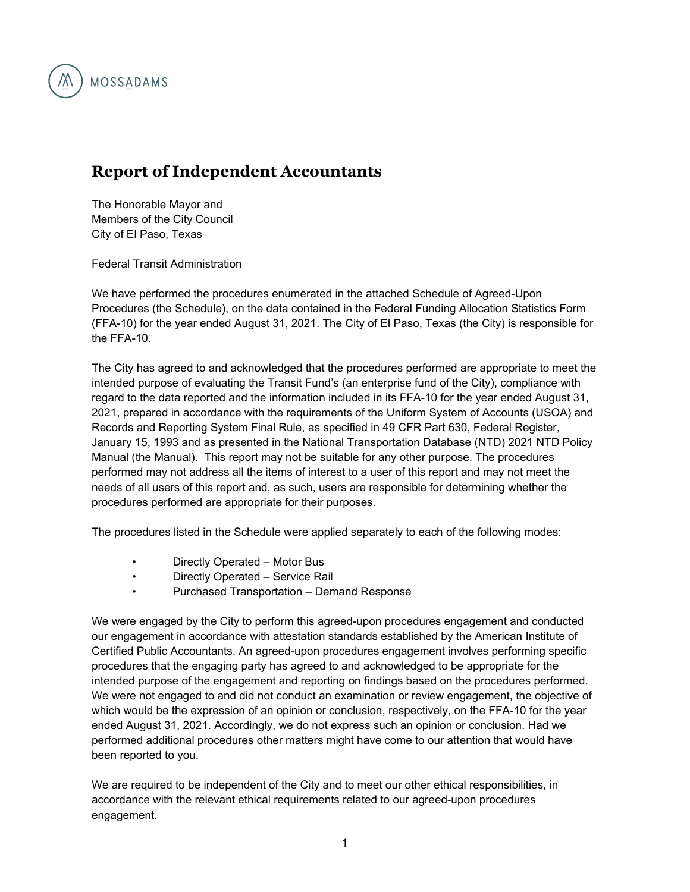

### **Report of Independent Accountants**

The Honorable Mayor and Members of the City Council City of El Paso, Texas

Federal Transit Administration

We have performed the procedures enumerated in the attached Schedule of Agreed-Upon Procedures (the Schedule), on the data contained in the Federal Funding Allocation Statistics Form (FFA-10) for the year ended August 31, 2021. The City of El Paso, Texas (the City) is responsible for the FFA-10.

The City has agreed to and acknowledged that the procedures performed are appropriate to meet the intended purpose of evaluating the Transit Fund's (an enterprise fund of the City), compliance with regard to the data reported and the information included in its FFA-10 for the year ended August 31, 2021, prepared in accordance with the requirements of the Uniform System of Accounts (USOA) and Records and Reporting System Final Rule, as specified in 49 CFR Part 630, Federal Register, January 15, 1993 and as presented in the National Transportation Database (NTD) 2021 NTD Policy Manual (the Manual). This report may not be suitable for any other purpose. The procedures performed may not address all the items of interest to a user of this report and may not meet the needs of all users of this report and, as such, users are responsible for determining whether the procedures performed are appropriate for their purposes.

The procedures listed in the Schedule were applied separately to each of the following modes:

- Directly Operated Motor Bus
- Directly Operated Service Rail
- Purchased Transportation Demand Response

We were engaged by the City to perform this agreed-upon procedures engagement and conducted our engagement in accordance with attestation standards established by the American Institute of Certified Public Accountants. An agreed-upon procedures engagement involves performing specific procedures that the engaging party has agreed to and acknowledged to be appropriate for the intended purpose of the engagement and reporting on findings based on the procedures performed. We were not engaged to and did not conduct an examination or review engagement, the objective of which would be the expression of an opinion or conclusion, respectively, on the FFA-10 for the year ended August 31, 2021. Accordingly, we do not express such an opinion or conclusion. Had we performed additional procedures other matters might have come to our attention that would have been reported to you.

We are required to be independent of the City and to meet our other ethical responsibilities, in accordance with the relevant ethical requirements related to our agreed-upon procedures engagement.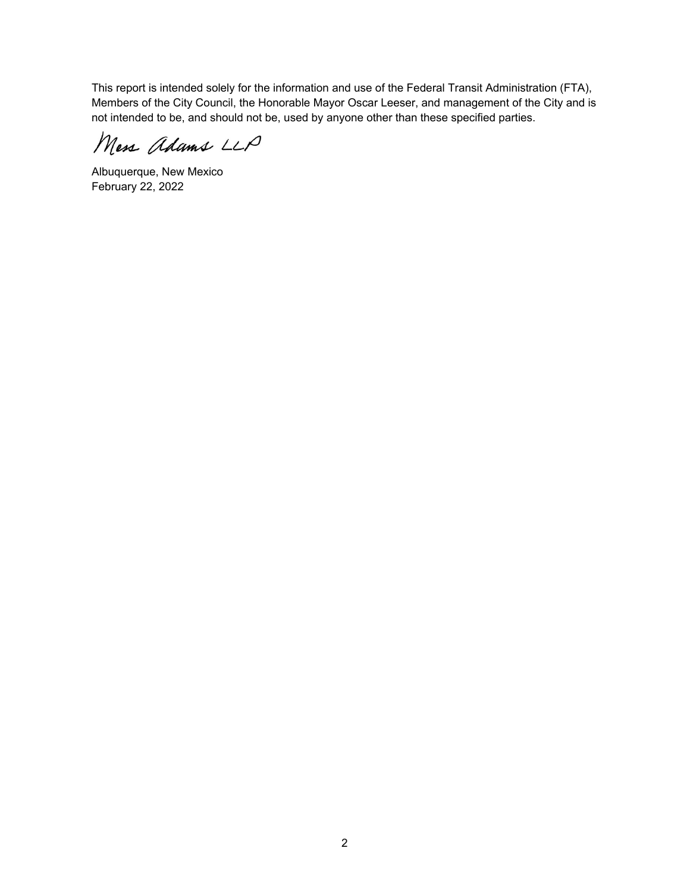This report is intended solely for the information and use of the Federal Transit Administration (FTA), Members of the City Council, the Honorable Mayor Oscar Leeser, and management of the City and is not intended to be, and should not be, used by anyone other than these specified parties.

Mess Adams LLP

Albuquerque, New Mexico February 22, 2022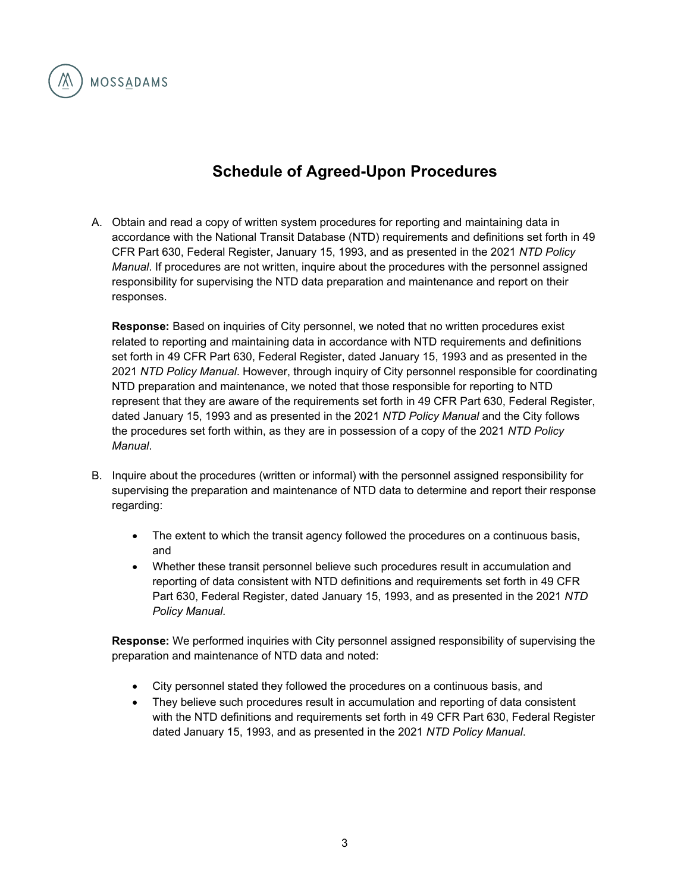

## **Schedule of Agreed-Upon Procedures**

A. Obtain and read a copy of written system procedures for reporting and maintaining data in accordance with the National Transit Database (NTD) requirements and definitions set forth in 49 CFR Part 630, Federal Register, January 15, 1993, and as presented in the 2021 *NTD Policy Manual*. If procedures are not written, inquire about the procedures with the personnel assigned responsibility for supervising the NTD data preparation and maintenance and report on their responses.

**Response:** Based on inquiries of City personnel, we noted that no written procedures exist related to reporting and maintaining data in accordance with NTD requirements and definitions set forth in 49 CFR Part 630, Federal Register, dated January 15, 1993 and as presented in the 2021 *NTD Policy Manual*. However, through inquiry of City personnel responsible for coordinating NTD preparation and maintenance, we noted that those responsible for reporting to NTD represent that they are aware of the requirements set forth in 49 CFR Part 630, Federal Register, dated January 15, 1993 and as presented in the 2021 *NTD Policy Manual* and the City follows the procedures set forth within, as they are in possession of a copy of the 2021 *NTD Policy Manual*.

- B. Inquire about the procedures (written or informal) with the personnel assigned responsibility for supervising the preparation and maintenance of NTD data to determine and report their response regarding:
	- The extent to which the transit agency followed the procedures on a continuous basis, and
	- Whether these transit personnel believe such procedures result in accumulation and reporting of data consistent with NTD definitions and requirements set forth in 49 CFR Part 630, Federal Register, dated January 15, 1993, and as presented in the 2021 *NTD Policy Manual*.

**Response:** We performed inquiries with City personnel assigned responsibility of supervising the preparation and maintenance of NTD data and noted:

- City personnel stated they followed the procedures on a continuous basis, and
- They believe such procedures result in accumulation and reporting of data consistent with the NTD definitions and requirements set forth in 49 CFR Part 630, Federal Register dated January 15, 1993, and as presented in the 2021 *NTD Policy Manual*.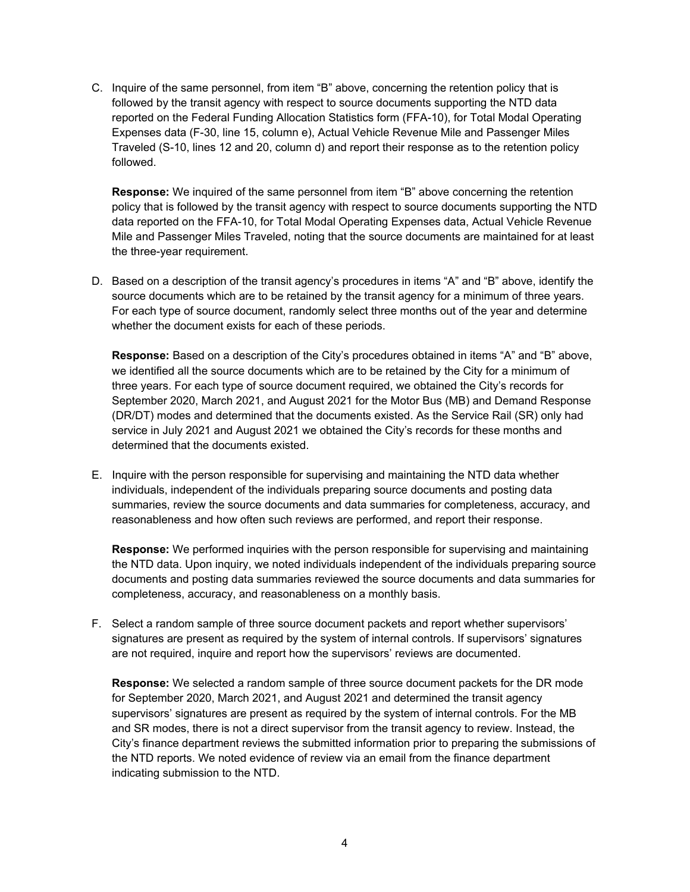C. Inquire of the same personnel, from item "B" above, concerning the retention policy that is followed by the transit agency with respect to source documents supporting the NTD data reported on the Federal Funding Allocation Statistics form (FFA-10), for Total Modal Operating Expenses data (F-30, line 15, column e), Actual Vehicle Revenue Mile and Passenger Miles Traveled (S-10, lines 12 and 20, column d) and report their response as to the retention policy followed.

**Response:** We inquired of the same personnel from item "B" above concerning the retention policy that is followed by the transit agency with respect to source documents supporting the NTD data reported on the FFA-10, for Total Modal Operating Expenses data, Actual Vehicle Revenue Mile and Passenger Miles Traveled, noting that the source documents are maintained for at least the three-year requirement.

D. Based on a description of the transit agency's procedures in items "A" and "B" above, identify the source documents which are to be retained by the transit agency for a minimum of three years. For each type of source document, randomly select three months out of the year and determine whether the document exists for each of these periods.

**Response:** Based on a description of the City's procedures obtained in items "A" and "B" above, we identified all the source documents which are to be retained by the City for a minimum of three years. For each type of source document required, we obtained the City's records for September 2020, March 2021, and August 2021 for the Motor Bus (MB) and Demand Response (DR/DT) modes and determined that the documents existed. As the Service Rail (SR) only had service in July 2021 and August 2021 we obtained the City's records for these months and determined that the documents existed.

E. Inquire with the person responsible for supervising and maintaining the NTD data whether individuals, independent of the individuals preparing source documents and posting data summaries, review the source documents and data summaries for completeness, accuracy, and reasonableness and how often such reviews are performed, and report their response.

**Response:** We performed inquiries with the person responsible for supervising and maintaining the NTD data. Upon inquiry, we noted individuals independent of the individuals preparing source documents and posting data summaries reviewed the source documents and data summaries for completeness, accuracy, and reasonableness on a monthly basis.

F. Select a random sample of three source document packets and report whether supervisors' signatures are present as required by the system of internal controls. If supervisors' signatures are not required, inquire and report how the supervisors' reviews are documented.

**Response:** We selected a random sample of three source document packets for the DR mode for September 2020, March 2021, and August 2021 and determined the transit agency supervisors' signatures are present as required by the system of internal controls. For the MB and SR modes, there is not a direct supervisor from the transit agency to review. Instead, the City's finance department reviews the submitted information prior to preparing the submissions of the NTD reports. We noted evidence of review via an email from the finance department indicating submission to the NTD.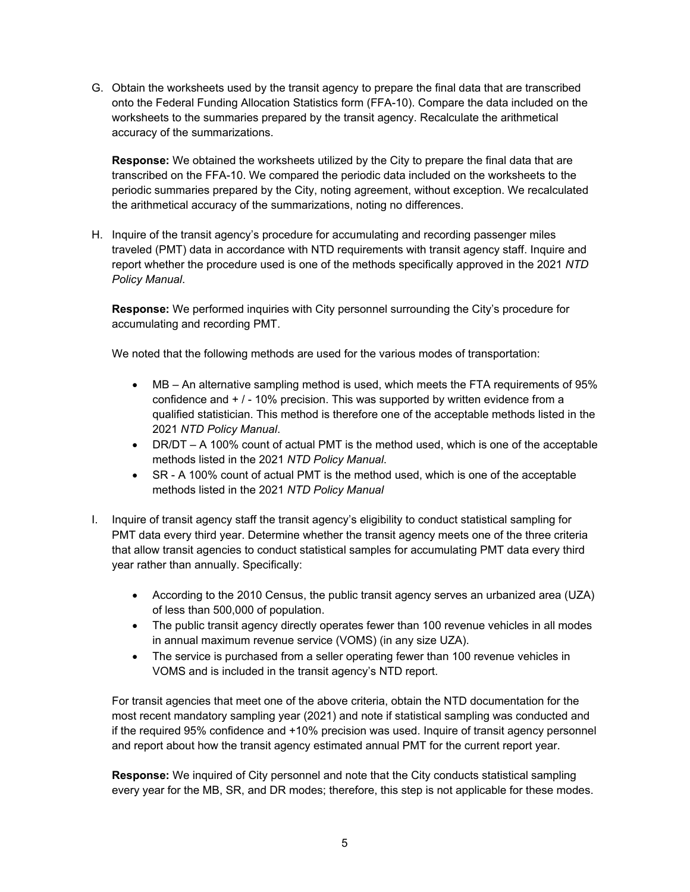G. Obtain the worksheets used by the transit agency to prepare the final data that are transcribed onto the Federal Funding Allocation Statistics form (FFA-10). Compare the data included on the worksheets to the summaries prepared by the transit agency. Recalculate the arithmetical accuracy of the summarizations.

**Response:** We obtained the worksheets utilized by the City to prepare the final data that are transcribed on the FFA-10. We compared the periodic data included on the worksheets to the periodic summaries prepared by the City, noting agreement, without exception. We recalculated the arithmetical accuracy of the summarizations, noting no differences.

H. Inquire of the transit agency's procedure for accumulating and recording passenger miles traveled (PMT) data in accordance with NTD requirements with transit agency staff. Inquire and report whether the procedure used is one of the methods specifically approved in the 2021 *NTD Policy Manual*.

**Response:** We performed inquiries with City personnel surrounding the City's procedure for accumulating and recording PMT.

We noted that the following methods are used for the various modes of transportation:

- MB An alternative sampling method is used, which meets the FTA requirements of 95% confidence and + / - 10% precision. This was supported by written evidence from a qualified statistician. This method is therefore one of the acceptable methods listed in the 2021 *NTD Policy Manual*.
- DR/DT A 100% count of actual PMT is the method used, which is one of the acceptable methods listed in the 2021 *NTD Policy Manual*.
- SR A 100% count of actual PMT is the method used, which is one of the acceptable methods listed in the 2021 *NTD Policy Manual*
- I. Inquire of transit agency staff the transit agency's eligibility to conduct statistical sampling for PMT data every third year. Determine whether the transit agency meets one of the three criteria that allow transit agencies to conduct statistical samples for accumulating PMT data every third year rather than annually. Specifically:
	- According to the 2010 Census, the public transit agency serves an urbanized area (UZA) of less than 500,000 of population.
	- The public transit agency directly operates fewer than 100 revenue vehicles in all modes in annual maximum revenue service (VOMS) (in any size UZA).
	- The service is purchased from a seller operating fewer than 100 revenue vehicles in VOMS and is included in the transit agency's NTD report.

For transit agencies that meet one of the above criteria, obtain the NTD documentation for the most recent mandatory sampling year (2021) and note if statistical sampling was conducted and if the required 95% confidence and +10% precision was used. Inquire of transit agency personnel and report about how the transit agency estimated annual PMT for the current report year.

**Response:** We inquired of City personnel and note that the City conducts statistical sampling every year for the MB, SR, and DR modes; therefore, this step is not applicable for these modes.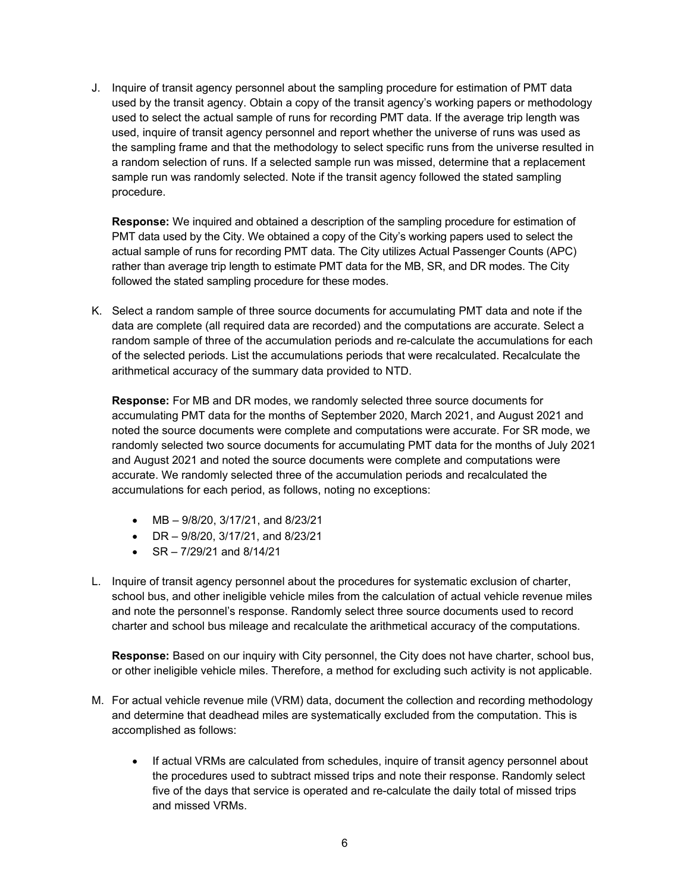J. Inquire of transit agency personnel about the sampling procedure for estimation of PMT data used by the transit agency. Obtain a copy of the transit agency's working papers or methodology used to select the actual sample of runs for recording PMT data. If the average trip length was used, inquire of transit agency personnel and report whether the universe of runs was used as the sampling frame and that the methodology to select specific runs from the universe resulted in a random selection of runs. If a selected sample run was missed, determine that a replacement sample run was randomly selected. Note if the transit agency followed the stated sampling procedure.

**Response:** We inquired and obtained a description of the sampling procedure for estimation of PMT data used by the City. We obtained a copy of the City's working papers used to select the actual sample of runs for recording PMT data. The City utilizes Actual Passenger Counts (APC) rather than average trip length to estimate PMT data for the MB, SR, and DR modes. The City followed the stated sampling procedure for these modes.

K. Select a random sample of three source documents for accumulating PMT data and note if the data are complete (all required data are recorded) and the computations are accurate. Select a random sample of three of the accumulation periods and re-calculate the accumulations for each of the selected periods. List the accumulations periods that were recalculated. Recalculate the arithmetical accuracy of the summary data provided to NTD.

**Response:** For MB and DR modes, we randomly selected three source documents for accumulating PMT data for the months of September 2020, March 2021, and August 2021 and noted the source documents were complete and computations were accurate. For SR mode, we randomly selected two source documents for accumulating PMT data for the months of July 2021 and August 2021 and noted the source documents were complete and computations were accurate. We randomly selected three of the accumulation periods and recalculated the accumulations for each period, as follows, noting no exceptions:

- MB  $-9/8/20$ ,  $3/17/21$ , and  $8/23/21$
- $\bullet$  DR 9/8/20, 3/17/21, and 8/23/21
- $\cdot$  SR 7/29/21 and 8/14/21
- L. Inquire of transit agency personnel about the procedures for systematic exclusion of charter, school bus, and other ineligible vehicle miles from the calculation of actual vehicle revenue miles and note the personnel's response. Randomly select three source documents used to record charter and school bus mileage and recalculate the arithmetical accuracy of the computations.

**Response:** Based on our inquiry with City personnel, the City does not have charter, school bus, or other ineligible vehicle miles. Therefore, a method for excluding such activity is not applicable.

- M. For actual vehicle revenue mile (VRM) data, document the collection and recording methodology and determine that deadhead miles are systematically excluded from the computation. This is accomplished as follows:
	- If actual VRMs are calculated from schedules, inquire of transit agency personnel about the procedures used to subtract missed trips and note their response. Randomly select five of the days that service is operated and re-calculate the daily total of missed trips and missed VRMs.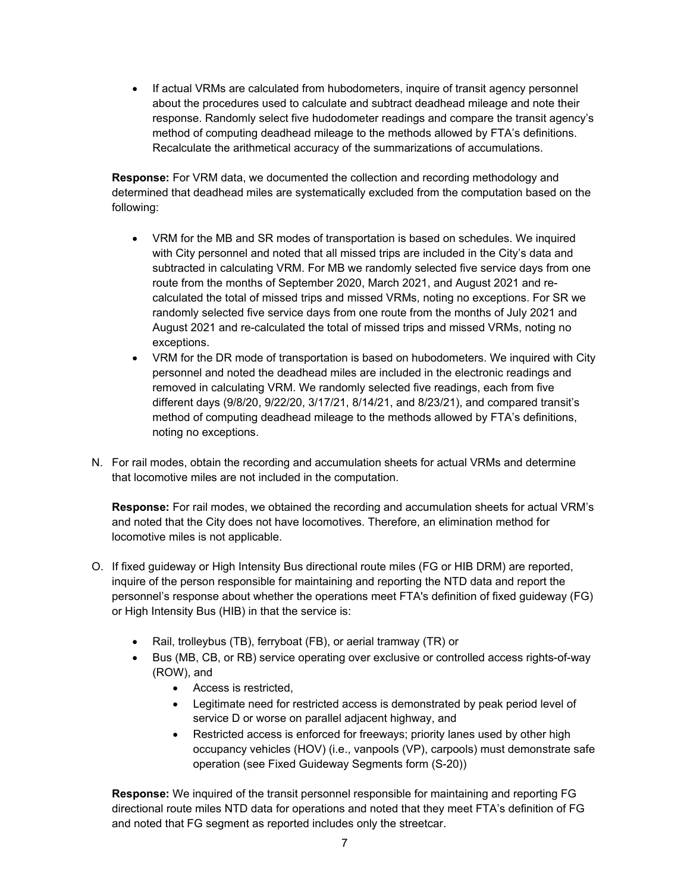• If actual VRMs are calculated from hubodometers, inquire of transit agency personnel about the procedures used to calculate and subtract deadhead mileage and note their response. Randomly select five hudodometer readings and compare the transit agency's method of computing deadhead mileage to the methods allowed by FTA's definitions. Recalculate the arithmetical accuracy of the summarizations of accumulations.

**Response:** For VRM data, we documented the collection and recording methodology and determined that deadhead miles are systematically excluded from the computation based on the following:

- VRM for the MB and SR modes of transportation is based on schedules. We inquired with City personnel and noted that all missed trips are included in the City's data and subtracted in calculating VRM. For MB we randomly selected five service days from one route from the months of September 2020, March 2021, and August 2021 and recalculated the total of missed trips and missed VRMs, noting no exceptions. For SR we randomly selected five service days from one route from the months of July 2021 and August 2021 and re-calculated the total of missed trips and missed VRMs, noting no exceptions.
- VRM for the DR mode of transportation is based on hubodometers. We inquired with City personnel and noted the deadhead miles are included in the electronic readings and removed in calculating VRM. We randomly selected five readings, each from five different days (9/8/20, 9/22/20, 3/17/21, 8/14/21, and 8/23/21), and compared transit's method of computing deadhead mileage to the methods allowed by FTA's definitions, noting no exceptions.
- N. For rail modes, obtain the recording and accumulation sheets for actual VRMs and determine that locomotive miles are not included in the computation.

**Response:** For rail modes, we obtained the recording and accumulation sheets for actual VRM's and noted that the City does not have locomotives. Therefore, an elimination method for locomotive miles is not applicable.

- O. If fixed guideway or High Intensity Bus directional route miles (FG or HIB DRM) are reported, inquire of the person responsible for maintaining and reporting the NTD data and report the personnel's response about whether the operations meet FTA's definition of fixed guideway (FG) or High Intensity Bus (HIB) in that the service is:
	- Rail, trolleybus (TB), ferryboat (FB), or aerial tramway (TR) or
	- Bus (MB, CB, or RB) service operating over exclusive or controlled access rights-of-way (ROW), and
		- Access is restricted,
		- Legitimate need for restricted access is demonstrated by peak period level of service D or worse on parallel adjacent highway, and
		- Restricted access is enforced for freeways; priority lanes used by other high occupancy vehicles (HOV) (i.e., vanpools (VP), carpools) must demonstrate safe operation (see Fixed Guideway Segments form (S-20))

**Response:** We inquired of the transit personnel responsible for maintaining and reporting FG directional route miles NTD data for operations and noted that they meet FTA's definition of FG and noted that FG segment as reported includes only the streetcar.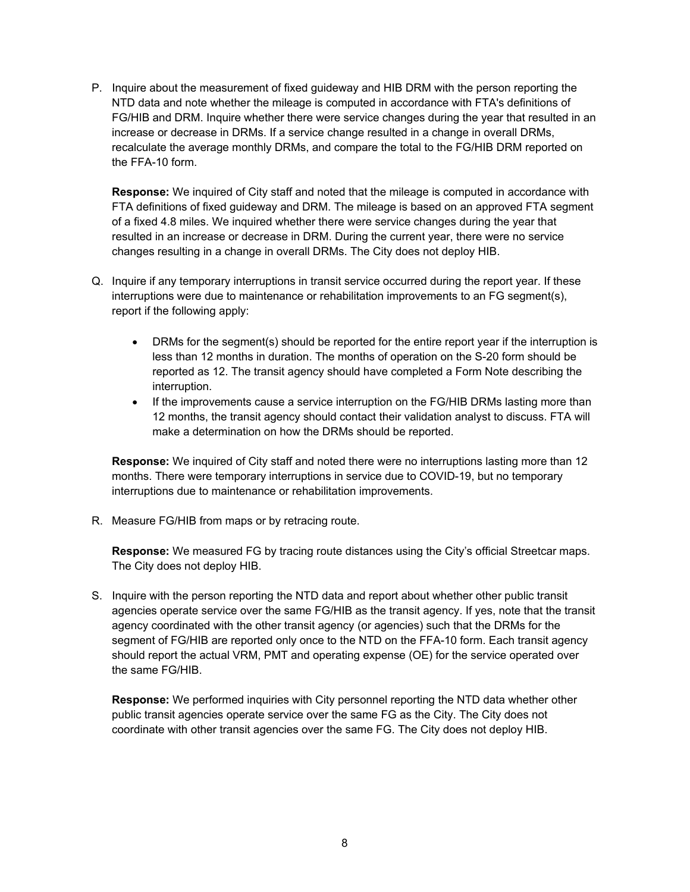P. Inquire about the measurement of fixed guideway and HIB DRM with the person reporting the NTD data and note whether the mileage is computed in accordance with FTA's definitions of FG/HIB and DRM. Inquire whether there were service changes during the year that resulted in an increase or decrease in DRMs. If a service change resulted in a change in overall DRMs, recalculate the average monthly DRMs, and compare the total to the FG/HIB DRM reported on the FFA-10 form.

**Response:** We inquired of City staff and noted that the mileage is computed in accordance with FTA definitions of fixed guideway and DRM. The mileage is based on an approved FTA segment of a fixed 4.8 miles. We inquired whether there were service changes during the year that resulted in an increase or decrease in DRM. During the current year, there were no service changes resulting in a change in overall DRMs. The City does not deploy HIB.

- Q. Inquire if any temporary interruptions in transit service occurred during the report year. If these interruptions were due to maintenance or rehabilitation improvements to an FG segment(s), report if the following apply:
	- DRMs for the segment(s) should be reported for the entire report year if the interruption is less than 12 months in duration. The months of operation on the S-20 form should be reported as 12. The transit agency should have completed a Form Note describing the interruption.
	- If the improvements cause a service interruption on the FG/HIB DRMs lasting more than 12 months, the transit agency should contact their validation analyst to discuss. FTA will make a determination on how the DRMs should be reported.

**Response:** We inquired of City staff and noted there were no interruptions lasting more than 12 months. There were temporary interruptions in service due to COVID-19, but no temporary interruptions due to maintenance or rehabilitation improvements.

R. Measure FG/HIB from maps or by retracing route.

**Response:** We measured FG by tracing route distances using the City's official Streetcar maps. The City does not deploy HIB.

S. Inquire with the person reporting the NTD data and report about whether other public transit agencies operate service over the same FG/HIB as the transit agency. If yes, note that the transit agency coordinated with the other transit agency (or agencies) such that the DRMs for the segment of FG/HIB are reported only once to the NTD on the FFA-10 form. Each transit agency should report the actual VRM, PMT and operating expense (OE) for the service operated over the same FG/HIB.

**Response:** We performed inquiries with City personnel reporting the NTD data whether other public transit agencies operate service over the same FG as the City. The City does not coordinate with other transit agencies over the same FG. The City does not deploy HIB.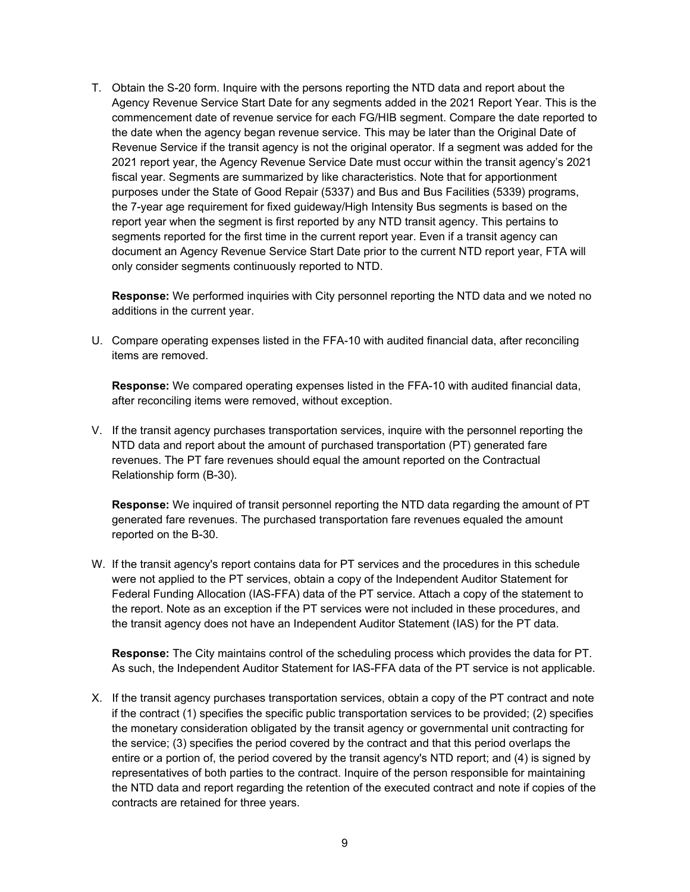T. Obtain the S-20 form. Inquire with the persons reporting the NTD data and report about the Agency Revenue Service Start Date for any segments added in the 2021 Report Year. This is the commencement date of revenue service for each FG/HIB segment. Compare the date reported to the date when the agency began revenue service. This may be later than the Original Date of Revenue Service if the transit agency is not the original operator. If a segment was added for the 2021 report year, the Agency Revenue Service Date must occur within the transit agency's 2021 fiscal year. Segments are summarized by like characteristics. Note that for apportionment purposes under the State of Good Repair (5337) and Bus and Bus Facilities (5339) programs, the 7-year age requirement for fixed guideway/High Intensity Bus segments is based on the report year when the segment is first reported by any NTD transit agency. This pertains to segments reported for the first time in the current report year. Even if a transit agency can document an Agency Revenue Service Start Date prior to the current NTD report year, FTA will only consider segments continuously reported to NTD.

**Response:** We performed inquiries with City personnel reporting the NTD data and we noted no additions in the current year.

U. Compare operating expenses listed in the FFA-10 with audited financial data, after reconciling items are removed.

**Response:** We compared operating expenses listed in the FFA-10 with audited financial data, after reconciling items were removed, without exception.

V. If the transit agency purchases transportation services, inquire with the personnel reporting the NTD data and report about the amount of purchased transportation (PT) generated fare revenues. The PT fare revenues should equal the amount reported on the Contractual Relationship form (B-30).

**Response:** We inquired of transit personnel reporting the NTD data regarding the amount of PT generated fare revenues. The purchased transportation fare revenues equaled the amount reported on the B-30.

W. If the transit agency's report contains data for PT services and the procedures in this schedule were not applied to the PT services, obtain a copy of the Independent Auditor Statement for Federal Funding Allocation (IAS-FFA) data of the PT service. Attach a copy of the statement to the report. Note as an exception if the PT services were not included in these procedures, and the transit agency does not have an Independent Auditor Statement (IAS) for the PT data.

**Response:** The City maintains control of the scheduling process which provides the data for PT. As such, the Independent Auditor Statement for IAS-FFA data of the PT service is not applicable.

X. If the transit agency purchases transportation services, obtain a copy of the PT contract and note if the contract (1) specifies the specific public transportation services to be provided; (2) specifies the monetary consideration obligated by the transit agency or governmental unit contracting for the service; (3) specifies the period covered by the contract and that this period overlaps the entire or a portion of, the period covered by the transit agency's NTD report; and (4) is signed by representatives of both parties to the contract. Inquire of the person responsible for maintaining the NTD data and report regarding the retention of the executed contract and note if copies of the contracts are retained for three years.